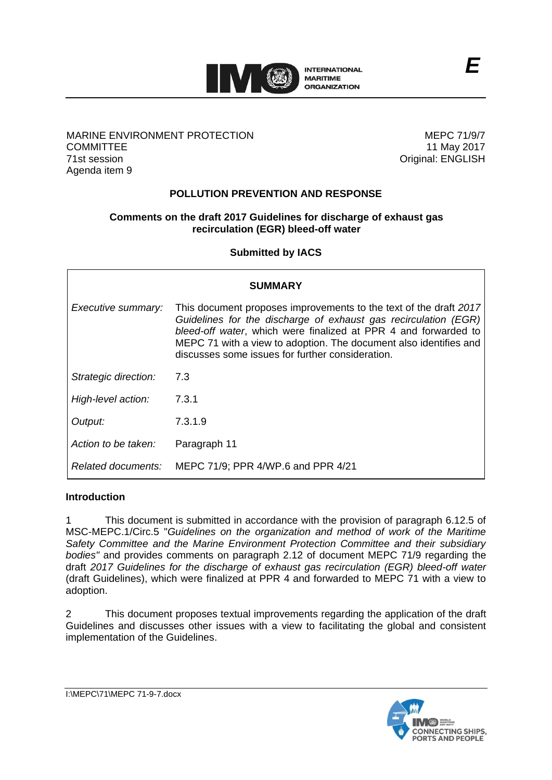

### MARINE ENVIRONMENT PROTECTION **COMMITTEE** 71st session Agenda item 9

MEPC 71/9/7 11 May 2017 Original: ENGLISH

## **POLLUTION PREVENTION AND RESPONSE**

#### **Comments on the draft 2017 Guidelines for discharge of exhaust gas recirculation (EGR) bleed-off water**

**Submitted by IACS**

| <b>SUMMARY</b>       |                                                                                                                                                                                                                                                                                                                                  |
|----------------------|----------------------------------------------------------------------------------------------------------------------------------------------------------------------------------------------------------------------------------------------------------------------------------------------------------------------------------|
| Executive summary:   | This document proposes improvements to the text of the draft 2017<br>Guidelines for the discharge of exhaust gas recirculation (EGR)<br>bleed-off water, which were finalized at PPR 4 and forwarded to<br>MEPC 71 with a view to adoption. The document also identifies and<br>discusses some issues for further consideration. |
| Strategic direction: | 7.3                                                                                                                                                                                                                                                                                                                              |
| High-level action:   | 7.3.1                                                                                                                                                                                                                                                                                                                            |
| Output:              | 7.3.1.9                                                                                                                                                                                                                                                                                                                          |
| Action to be taken:  | Paragraph 11                                                                                                                                                                                                                                                                                                                     |
| Related documents:   | MEPC 71/9; PPR 4/WP.6 and PPR 4/21                                                                                                                                                                                                                                                                                               |

#### **Introduction**

1 This document is submitted in accordance with the provision of paragraph 6.12.5 of MSC-MEPC.1/Circ.5 "*Guidelines on the organization and method of work of the Maritime Safety Committee and the Marine Environment Protection Committee and their subsidiary bodies"* and provides comments on paragraph 2.12 of document MEPC 71/9 regarding the draft *2017 Guidelines for the discharge of exhaust gas recirculation (EGR) bleed-off water* (draft Guidelines), which were finalized at PPR 4 and forwarded to MEPC 71 with a view to adoption.

2 This document proposes textual improvements regarding the application of the draft Guidelines and discusses other issues with a view to facilitating the global and consistent implementation of the Guidelines.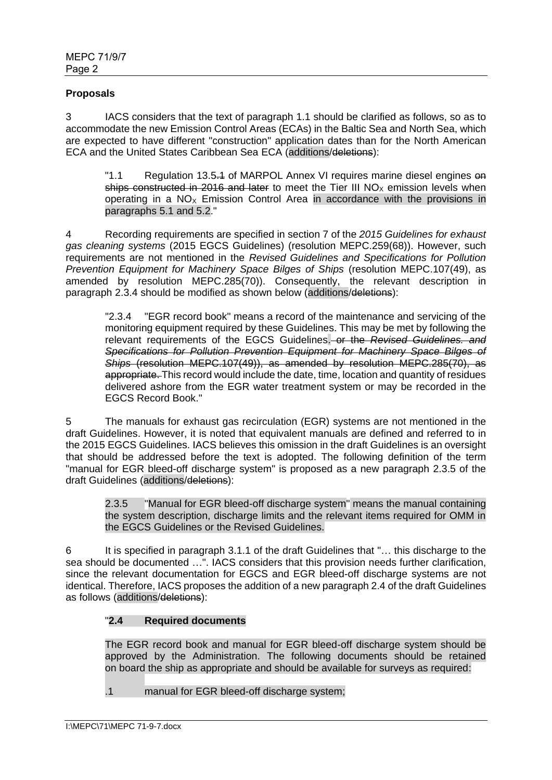### **Proposals**

3 IACS considers that the text of paragraph 1.1 should be clarified as follows, so as to accommodate the new Emission Control Areas (ECAs) in the Baltic Sea and North Sea, which are expected to have different "construction" application dates than for the North American ECA and the United States Caribbean Sea ECA (additions/deletions):

"1.1 Regulation 13.5.4 of MARPOL Annex VI requires marine diesel engines on ships constructed in 2016 and later to meet the Tier III  $NO<sub>x</sub>$  emission levels when operating in a  $NO<sub>x</sub>$  Emission Control Area in accordance with the provisions in paragraphs 5.1 and 5.2."

4 Recording requirements are specified in section 7 of the *2015 Guidelines for exhaust gas cleaning systems* (2015 EGCS Guidelines) (resolution MEPC.259(68)). However, such requirements are not mentioned in the *Revised Guidelines and Specifications for Pollution Prevention Equipment for Machinery Space Bilges of Ships* (resolution MEPC.107(49), as amended by resolution MEPC.285(70)). Consequently, the relevant description in paragraph 2.3.4 should be modified as shown below (additions/deletions):

"2.3.4 "EGR record book" means a record of the maintenance and servicing of the monitoring equipment required by these Guidelines. This may be met by following the relevant requirements of the EGCS Guidelines. or the *Revised Guidelines. and Specifications for Pollution Prevention Equipment for Machinery Space Bilges of Ships* (resolution MEPC.107(49)), as amended by resolution MEPC.285(70), as appropriate. This record would include the date, time, location and quantity of residues delivered ashore from the EGR water treatment system or may be recorded in the EGCS Record Book."

5 The manuals for exhaust gas recirculation (EGR) systems are not mentioned in the draft Guidelines. However, it is noted that equivalent manuals are defined and referred to in the 2015 EGCS Guidelines. IACS believes this omission in the draft Guidelines is an oversight that should be addressed before the text is adopted. The following definition of the term "manual for EGR bleed-off discharge system" is proposed as a new paragraph 2.3.5 of the draft Guidelines (additions/deletions):

2.3.5 "Manual for EGR bleed-off discharge system" means the manual containing the system description, discharge limits and the relevant items required for OMM in the EGCS Guidelines or the Revised Guidelines.

6 It is specified in paragraph 3.1.1 of the draft Guidelines that "… this discharge to the sea should be documented …". IACS considers that this provision needs further clarification, since the relevant documentation for EGCS and EGR bleed-off discharge systems are not identical. Therefore, IACS proposes the addition of a new paragraph 2.4 of the draft Guidelines as follows (additions/deletions):

# "**2.4 Required documents**

The EGR record book and manual for EGR bleed-off discharge system should be approved by the Administration. The following documents should be retained on board the ship as appropriate and should be available for surveys as required:

.1 manual for EGR bleed-off discharge system;